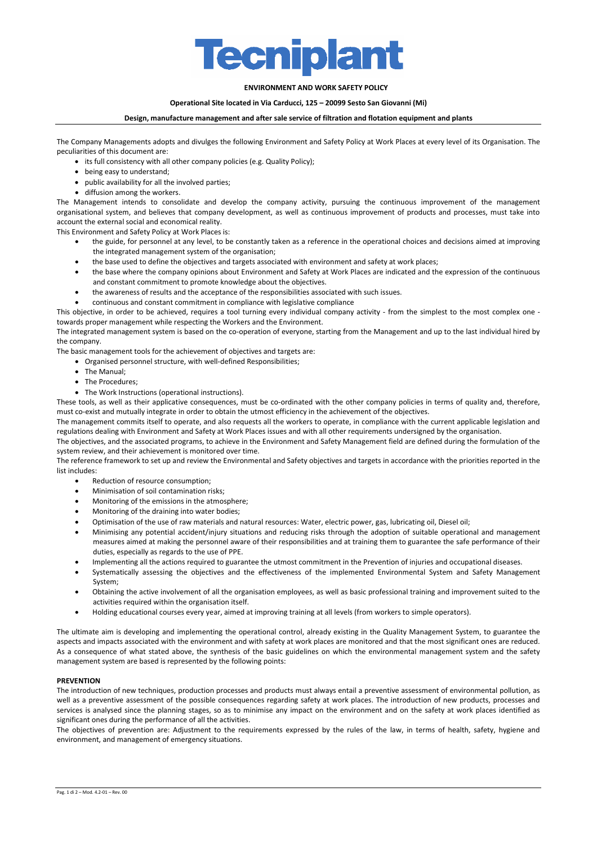

# **ENVIRONMENT AND WORK SAFETY POLICY**

#### **Operational Site located in Via Carducci, 125 – 20099 Sesto San Giovanni (Mi)**

#### **Design, manufacture management and after sale service of filtration and flotation equipment and plants**

The Company Managements adopts and divulges the following Environment and Safety Policy at Work Places at every level of its Organisation. The peculiarities of this document are:

- its full consistency with all other company policies (e.g. Quality Policy);
- being easy to understand;
- public availability for all the involved parties;
- diffusion among the workers.

The Management intends to consolidate and develop the company activity, pursuing the continuous improvement of the management organisational system, and believes that company development, as well as continuous improvement of products and processes, must take into account the external social and economical reality.

This Environment and Safety Policy at Work Places is:

- the guide, for personnel at any level, to be constantly taken as a reference in the operational choices and decisions aimed at improving the integrated management system of the organisation;
- the base used to define the objectives and targets associated with environment and safety at work places;
- the base where the company opinions about Environment and Safety at Work Places are indicated and the expression of the continuous and constant commitment to promote knowledge about the objectives.
- the awareness of results and the acceptance of the responsibilities associated with such issues.
- continuous and constant commitment in compliance with legislative compliance

This objective, in order to be achieved, requires a tool turning every individual company activity - from the simplest to the most complex one towards proper management while respecting the Workers and the Environment.

The integrated management system is based on the co-operation of everyone, starting from the Management and up to the last individual hired by the company.

The basic management tools for the achievement of objectives and targets are:

• Organised personnel structure, with well-defined Responsibilities;

- The Manual;
- The Procedures:
- The Work Instructions (operational instructions).

These tools, as well as their applicative consequences, must be co-ordinated with the other company policies in terms of quality and, therefore, must co-exist and mutually integrate in order to obtain the utmost efficiency in the achievement of the objectives.

The management commits itself to operate, and also requests all the workers to operate, in compliance with the current applicable legislation and regulations dealing with Environment and Safety at Work Places issues and with all other requirements undersigned by the organisation.

The objectives, and the associated programs, to achieve in the Environment and Safety Management field are defined during the formulation of the system review, and their achievement is monitored over time.

The reference framework to set up and review the Environmental and Safety objectives and targets in accordance with the priorities reported in the list includes:

- Reduction of resource consumption;
- Minimisation of soil contamination risks;
- Monitoring of the emissions in the atmosphere;
- Monitoring of the draining into water bodies;
- Optimisation of the use of raw materials and natural resources: Water, electric power, gas, lubricating oil, Diesel oil;
- Minimising any potential accident/injury situations and reducing risks through the adoption of suitable operational and management measures aimed at making the personnel aware of their responsibilities and at training them to guarantee the safe performance of their duties, especially as regards to the use of PPE.
- Implementing all the actions required to guarantee the utmost commitment in the Prevention of injuries and occupational diseases.
- Systematically assessing the objectives and the effectiveness of the implemented Environmental System and Safety Management System;
- Obtaining the active involvement of all the organisation employees, as well as basic professional training and improvement suited to the activities required within the organisation itself.
- Holding educational courses every year, aimed at improving training at all levels (from workers to simple operators).

The ultimate aim is developing and implementing the operational control, already existing in the Quality Management System, to guarantee the aspects and impacts associated with the environment and with safety at work places are monitored and that the most significant ones are reduced. As a consequence of what stated above, the synthesis of the basic guidelines on which the environmental management system and the safety management system are based is represented by the following points:

# **PREVENTION**

The introduction of new techniques, production processes and products must always entail a preventive assessment of environmental pollution, as well as a preventive assessment of the possible consequences regarding safety at work places. The introduction of new products, processes and services is analysed since the planning stages, so as to minimise any impact on the environment and on the safety at work places identified as significant ones during the performance of all the activities.

The objectives of prevention are: Adjustment to the requirements expressed by the rules of the law, in terms of health, safety, hygiene and environment, and management of emergency situations.